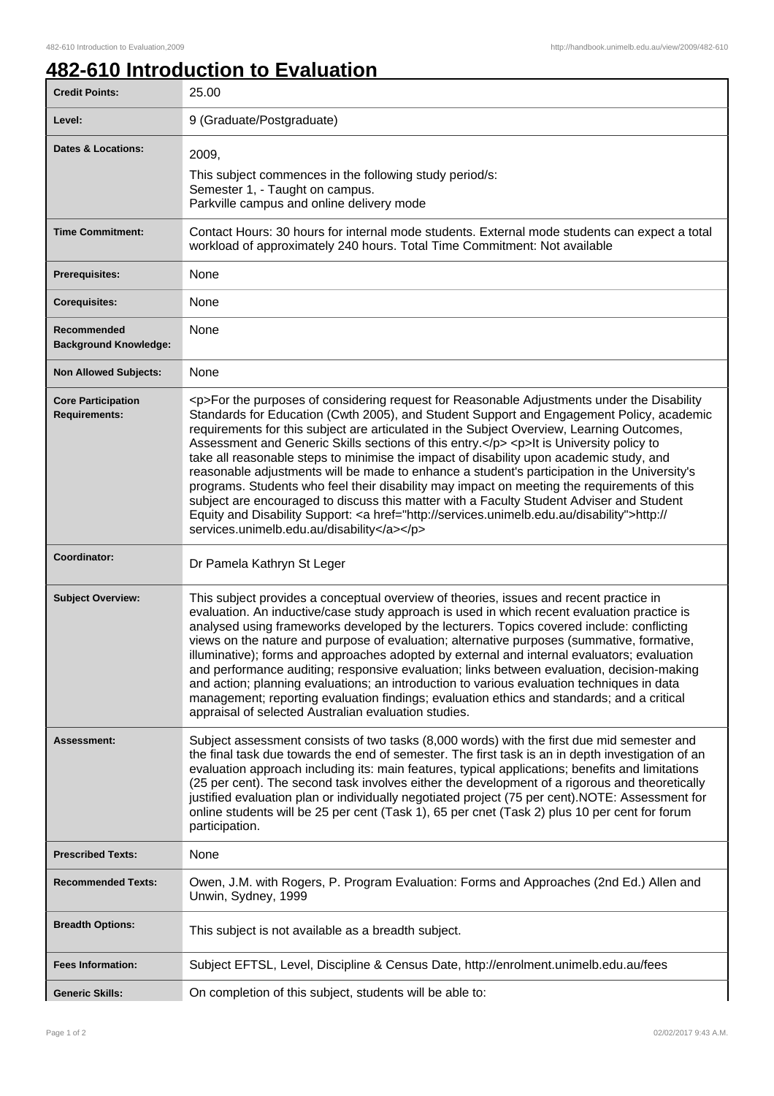## **482-610 Introduction to Evaluation**

| <b>Credit Points:</b>                             | uuvuvii l<br>25.00                                                                                                                                                                                                                                                                                                                                                                                                                                                                                                                                                                                                                                                                                                                                                                                                                                                                                                           |
|---------------------------------------------------|------------------------------------------------------------------------------------------------------------------------------------------------------------------------------------------------------------------------------------------------------------------------------------------------------------------------------------------------------------------------------------------------------------------------------------------------------------------------------------------------------------------------------------------------------------------------------------------------------------------------------------------------------------------------------------------------------------------------------------------------------------------------------------------------------------------------------------------------------------------------------------------------------------------------------|
| Level:                                            | 9 (Graduate/Postgraduate)                                                                                                                                                                                                                                                                                                                                                                                                                                                                                                                                                                                                                                                                                                                                                                                                                                                                                                    |
|                                                   |                                                                                                                                                                                                                                                                                                                                                                                                                                                                                                                                                                                                                                                                                                                                                                                                                                                                                                                              |
| <b>Dates &amp; Locations:</b>                     | 2009,                                                                                                                                                                                                                                                                                                                                                                                                                                                                                                                                                                                                                                                                                                                                                                                                                                                                                                                        |
|                                                   | This subject commences in the following study period/s:<br>Semester 1, - Taught on campus.                                                                                                                                                                                                                                                                                                                                                                                                                                                                                                                                                                                                                                                                                                                                                                                                                                   |
|                                                   | Parkville campus and online delivery mode                                                                                                                                                                                                                                                                                                                                                                                                                                                                                                                                                                                                                                                                                                                                                                                                                                                                                    |
| <b>Time Commitment:</b>                           | Contact Hours: 30 hours for internal mode students. External mode students can expect a total<br>workload of approximately 240 hours. Total Time Commitment: Not available                                                                                                                                                                                                                                                                                                                                                                                                                                                                                                                                                                                                                                                                                                                                                   |
| <b>Prerequisites:</b>                             | None                                                                                                                                                                                                                                                                                                                                                                                                                                                                                                                                                                                                                                                                                                                                                                                                                                                                                                                         |
| <b>Corequisites:</b>                              | None                                                                                                                                                                                                                                                                                                                                                                                                                                                                                                                                                                                                                                                                                                                                                                                                                                                                                                                         |
| Recommended<br><b>Background Knowledge:</b>       | None                                                                                                                                                                                                                                                                                                                                                                                                                                                                                                                                                                                                                                                                                                                                                                                                                                                                                                                         |
| <b>Non Allowed Subjects:</b>                      | None                                                                                                                                                                                                                                                                                                                                                                                                                                                                                                                                                                                                                                                                                                                                                                                                                                                                                                                         |
| <b>Core Participation</b><br><b>Requirements:</b> | <p>For the purposes of considering request for Reasonable Adjustments under the Disability<br/>Standards for Education (Cwth 2005), and Student Support and Engagement Policy, academic<br/>requirements for this subject are articulated in the Subject Overview, Learning Outcomes,<br/>Assessment and Generic Skills sections of this entry.</p> <p>lt is University policy to<br/>take all reasonable steps to minimise the impact of disability upon academic study, and<br/>reasonable adjustments will be made to enhance a student's participation in the University's<br/>programs. Students who feel their disability may impact on meeting the requirements of this<br/>subject are encouraged to discuss this matter with a Faculty Student Adviser and Student<br/>Equity and Disability Support: &lt; a href="http://services.unimelb.edu.au/disability"&gt;http://<br/>services.unimelb.edu.au/disability</p> |
| Coordinator:                                      | Dr Pamela Kathryn St Leger                                                                                                                                                                                                                                                                                                                                                                                                                                                                                                                                                                                                                                                                                                                                                                                                                                                                                                   |
| <b>Subject Overview:</b>                          | This subject provides a conceptual overview of theories, issues and recent practice in<br>evaluation. An inductive/case study approach is used in which recent evaluation practice is<br>analysed using frameworks developed by the lecturers. Topics covered include: conflicting<br>views on the nature and purpose of evaluation; alternative purposes (summative, formative,<br>illuminative); forms and approaches adopted by external and internal evaluators; evaluation<br>and performance auditing; responsive evaluation; links between evaluation, decision-making<br>and action; planning evaluations; an introduction to various evaluation techniques in data<br>management; reporting evaluation findings; evaluation ethics and standards; and a critical<br>appraisal of selected Australian evaluation studies.                                                                                            |
| Assessment:                                       | Subject assessment consists of two tasks (8,000 words) with the first due mid semester and<br>the final task due towards the end of semester. The first task is an in depth investigation of an<br>evaluation approach including its: main features, typical applications; benefits and limitations<br>(25 per cent). The second task involves either the development of a rigorous and theoretically<br>justified evaluation plan or individually negotiated project (75 per cent). NOTE: Assessment for<br>online students will be 25 per cent (Task 1), 65 per cnet (Task 2) plus 10 per cent for forum<br>participation.                                                                                                                                                                                                                                                                                                 |
| <b>Prescribed Texts:</b>                          | None                                                                                                                                                                                                                                                                                                                                                                                                                                                                                                                                                                                                                                                                                                                                                                                                                                                                                                                         |
| <b>Recommended Texts:</b>                         | Owen, J.M. with Rogers, P. Program Evaluation: Forms and Approaches (2nd Ed.) Allen and<br>Unwin, Sydney, 1999                                                                                                                                                                                                                                                                                                                                                                                                                                                                                                                                                                                                                                                                                                                                                                                                               |
| <b>Breadth Options:</b>                           | This subject is not available as a breadth subject.                                                                                                                                                                                                                                                                                                                                                                                                                                                                                                                                                                                                                                                                                                                                                                                                                                                                          |
| <b>Fees Information:</b>                          | Subject EFTSL, Level, Discipline & Census Date, http://enrolment.unimelb.edu.au/fees                                                                                                                                                                                                                                                                                                                                                                                                                                                                                                                                                                                                                                                                                                                                                                                                                                         |
| <b>Generic Skills:</b>                            | On completion of this subject, students will be able to:                                                                                                                                                                                                                                                                                                                                                                                                                                                                                                                                                                                                                                                                                                                                                                                                                                                                     |